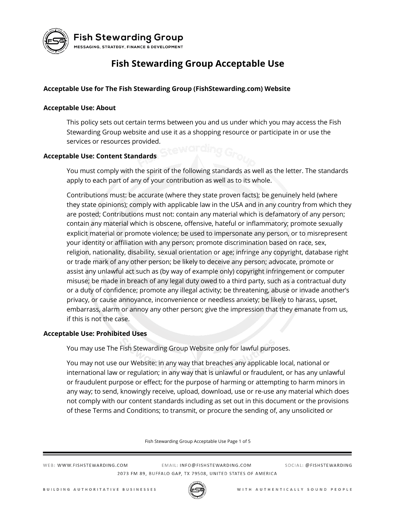

**Fish Stewarding Group** MESSAGING, STRATEGY, FINANCE & DEVELOPMENT

## **Fish Stewarding Group Acceptable Use**

## **Acceptable Use for The Fish Stewarding Group (FishStewarding.com) Website**

#### **Acceptable Use: About**

This policy sets out certain terms between you and us under which you may access the Fish Stewarding Group website and use it as a shopping resource or participate in or use the services or resources provided.

#### **Acceptable Use: Content Standards**

You must comply with the spirit of the following standards as well as the letter. The standards apply to each part of any of your contribution as well as to its whole.

Contributions must: be accurate (where they state proven facts); be genuinely held (where they state opinions); comply with applicable law in the USA and in any country from which they are posted; Contributions must not: contain any material which is defamatory of any person; contain any material which is obscene, offensive, hateful or inflammatory; promote sexually explicit material or promote violence; be used to impersonate any person, or to misrepresent your identity or affiliation with any person; promote discrimination based on race, sex, religion, nationality, disability, sexual orientation or age; infringe any copyright, database right or trade mark of any other person; be likely to deceive any person; advocate, promote or assist any unlawful act such as (by way of example only) copyright infringement or computer misuse; be made in breach of any legal duty owed to a third party, such as a contractual duty or a duty of confidence; promote any illegal activity; be threatening, abuse or invade another's privacy, or cause annoyance, inconvenience or needless anxiety; be likely to harass, upset, embarrass, alarm or annoy any other person; give the impression that they emanate from us, if this is not the case.

#### **Acceptable Use: Prohibited Uses**

You may use The Fish Stewarding Group Website only for lawful purposes.

You may not use our Website: in any way that breaches any applicable local, national or international law or regulation; in any way that is unlawful or fraudulent, or has any unlawful or fraudulent purpose or effect; for the purpose of harming or attempting to harm minors in any way; to send, knowingly receive, upload, download, use or re-use any material which does not comply with our content standards including as set out in this document or the provisions of these Terms and Conditions; to transmit, or procure the sending of, any unsolicited or

Fish Stewarding Group Acceptable Use Page 1 of 5

WEB: WWW.FISHSTEWARDING.COM

EMAIL: INFO@FISHSTEWARDING.COM 2073 FM 89, BUFFALO GAP, TX 79508, UNITED STATES OF AMERICA

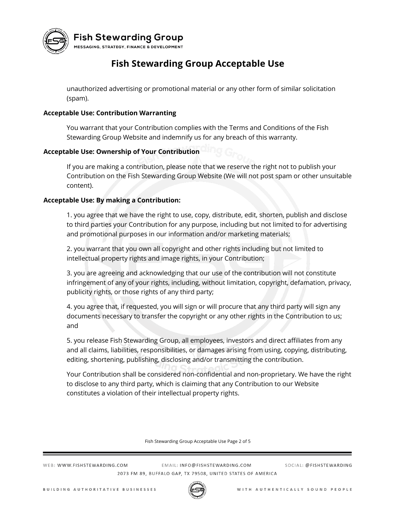

**Fish Stewarding Group** 

MESSAGING, STRATEGY, FINANCE & DEVELOPMENT

# **Fish Stewarding Group Acceptable Use**

unauthorized advertising or promotional material or any other form of similar solicitation (spam).

## **Acceptable Use: Contribution Warranting**

You warrant that your Contribution complies with the Terms and Conditions of the Fish Stewarding Group Website and indemnify us for any breach of this warranty.

## **Acceptable Use: Ownership of Your Contribution**

If you are making a contribution, please note that we reserve the right not to publish your Contribution on the Fish Stewarding Group Website (We will not post spam or other unsuitable content).

### **Acceptable Use: By making a Contribution:**

1. you agree that we have the right to use, copy, distribute, edit, shorten, publish and disclose to third parties your Contribution for any purpose, including but not limited to for advertising and promotional purposes in our information and/or marketing materials;

2. you warrant that you own all copyright and other rights including but not limited to intellectual property rights and image rights, in your Contribution;

3. you are agreeing and acknowledging that our use of the contribution will not constitute infringement of any of your rights, including, without limitation, copyright, defamation, privacy, publicity rights, or those rights of any third party;

4. you agree that, if requested, you will sign or will procure that any third party will sign any documents necessary to transfer the copyright or any other rights in the Contribution to us; and

5. you release Fish Stewarding Group, all employees, investors and direct affiliates from any and all claims, liabilities, responsibilities, or damages arising from using, copying, distributing, editing, shortening, publishing, disclosing and/or transmitting the contribution.

Your Contribution shall be considered non-confidential and non-proprietary. We have the right to disclose to any third party, which is claiming that any Contribution to our Website constitutes a violation of their intellectual property rights.

Fish Stewarding Group Acceptable Use Page 2 of 5

WEB: WWW.FISHSTEWARDING.COM

EMAIL: INFO@FISHSTEWARDING.COM 2073 FM 89, BUFFALO GAP, TX 79508, UNITED STATES OF AMERICA

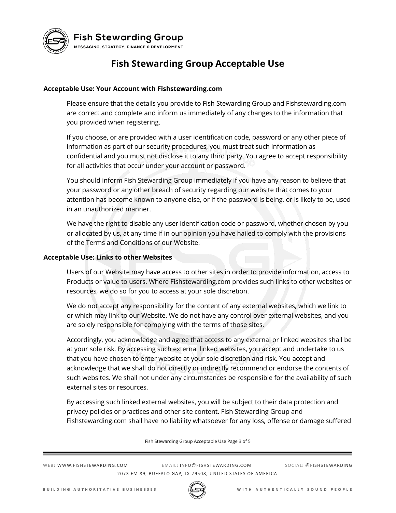

**Fish Stewarding Group** MESSAGING, STRATEGY, FINANCE & DEVELOPMENT

## **Fish Stewarding Group Acceptable Use**

#### **Acceptable Use: Your Account with Fishstewarding.com**

Please ensure that the details you provide to Fish Stewarding Group and Fishstewarding.com are correct and complete and inform us immediately of any changes to the information that you provided when registering.

If you choose, or are provided with a user identification code, password or any other piece of information as part of our security procedures, you must treat such information as confidential and you must not disclose it to any third party. You agree to accept responsibility for all activities that occur under your account or password.

You should inform Fish Stewarding Group immediately if you have any reason to believe that your password or any other breach of security regarding our website that comes to your attention has become known to anyone else, or if the password is being, or is likely to be, used in an unauthorized manner.

We have the right to disable any user identification code or password, whether chosen by you or allocated by us, at any time if in our opinion you have hailed to comply with the provisions of the Terms and Conditions of our Website.

#### **Acceptable Use: Links to other Websites**

Users of our Website may have access to other sites in order to provide information, access to Products or value to users. Where Fishstewarding.com provides such links to other websites or resources, we do so for you to access at your sole discretion.

We do not accept any responsibility for the content of any external websites, which we link to or which may link to our Website. We do not have any control over external websites, and you are solely responsible for complying with the terms of those sites.

Accordingly, you acknowledge and agree that access to any external or linked websites shall be at your sole risk. By accessing such external linked websites, you accept and undertake to us that you have chosen to enter website at your sole discretion and risk. You accept and acknowledge that we shall do not directly or indirectly recommend or endorse the contents of such websites. We shall not under any circumstances be responsible for the availability of such external sites or resources.

By accessing such linked external websites, you will be subject to their data protection and privacy policies or practices and other site content. Fish Stewarding Group and Fishstewarding.com shall have no liability whatsoever for any loss, offense or damage suffered

Fish Stewarding Group Acceptable Use Page 3 of 5

WEB: WWW.FISHSTEWARDING.COM

EMAIL: INFO@FISHSTEWARDING.COM 2073 FM 89, BUFFALO GAP, TX 79508, UNITED STATES OF AMERICA

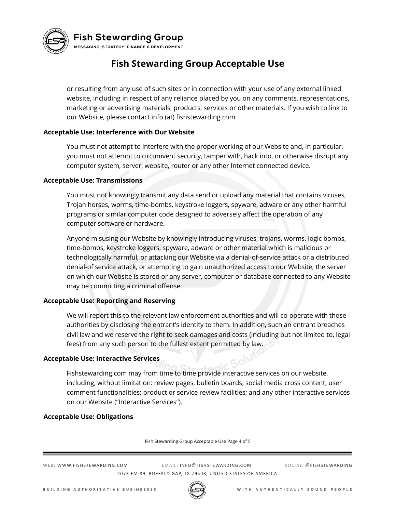

## **Fish Stewarding Group**

MESSAGING, STRATEGY, FINANCE & DEVELOPMENT

# **Fish Stewarding Group Acceptable Use**

or resulting from any use of such sites or in connection with your use of any external linked website, including in respect of any reliance placed by you on any comments, representations, marketing or advertising materials, products, services or other materials. If you wish to link to our Website, please contact info (at) fishstewarding.com

### **Acceptable Use: Interference with Our Website**

You must not attempt to interfere with the proper working of our Website and, in particular, you must not attempt to circumvent security, tamper with, hack into, or otherwise disrupt any computer system, server, website, router or any other Internet connected device.

#### **Acceptable Use: Transmissions**

You must not knowingly transmit any data send or upload any material that contains viruses, Trojan horses, worms, time-bombs, keystroke loggers, spyware, adware or any other harmful programs or similar computer code designed to adversely affect the operation of any computer software or hardware.

Anyone misusing our Website by knowingly introducing viruses, trojans, worms, logic bombs, time-bombs, keystroke loggers, spyware, adware or other material which is malicious or technologically harmful, or attacking our Website via a denial-of-service attack or a distributed denial-of service attack, or attempting to gain unauthorized access to our Website, the server on which our Website is stored or any server, computer or database connected to any Website may be committing a criminal offense.

### **Acceptable Use: Reporting and Reserving**

We will report this to the relevant law enforcement authorities and will co-operate with those authorities by disclosing the entrant's identity to them. In addition, such an entrant breaches civil law and we reserve the right to seek damages and costs (including but not limited to, legal fees) from any such person to the fullest extent permitted by law.

### **Acceptable Use: Interactive Services**

Fishstewarding.com may from time to time provide interactive services on our website, including, without limitation: review pages, bulletin boards, social media cross content; user comment functionalities; product or service review facilities; and any other interactive services on our Website ("Interactive Services").

### **Acceptable Use: Obligations**

Fish Stewarding Group Acceptable Use Page 4 of 5

WEB: WWW.FISHSTEWARDING.COM

EMAIL: INFO@FISHSTEWARDING.COM 2073 FM 89, BUFFALO GAP, TX 79508, UNITED STATES OF AMERICA